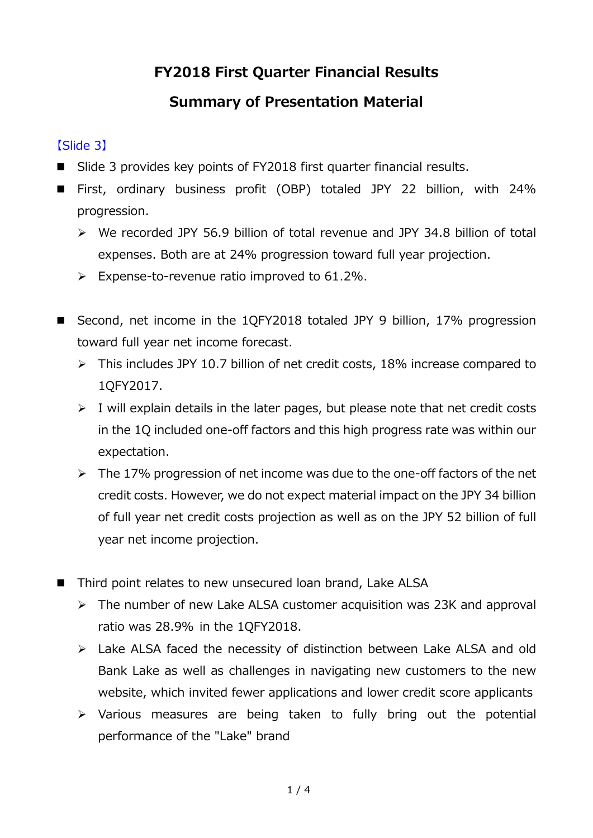## **FY2018 First Quarter Financial Results**

# **Summary of Presentation Material**

## 【Slide 3】

- Slide 3 provides key points of FY2018 first quarter financial results.
- First, ordinary business profit (OBP) totaled JPY 22 billion, with 24% progression.
	- $\triangleright$  We recorded JPY 56.9 billion of total revenue and JPY 34.8 billion of total expenses. Both are at 24% progression toward full year projection.
	- $\triangleright$  Expense-to-revenue ratio improved to 61.2%.
- Second, net income in the 1QFY2018 totaled JPY 9 billion, 17% progression toward full year net income forecast.
	- $\triangleright$  This includes JPY 10.7 billion of net credit costs, 18% increase compared to 1QFY2017.
	- $\triangleright$  I will explain details in the later pages, but please note that net credit costs in the 1Q included one-off factors and this high progress rate was within our expectation.
	- $\triangleright$  The 17% progression of net income was due to the one-off factors of the net credit costs. However, we do not expect material impact on the JPY 34 billion of full year net credit costs projection as well as on the JPY 52 billion of full year net income projection.
- Third point relates to new unsecured loan brand, Lake ALSA
	- $\triangleright$  The number of new Lake ALSA customer acquisition was 23K and approval ratio was 28.9% in the 1QFY2018.
	- Lake ALSA faced the necessity of distinction between Lake ALSA and old Bank Lake as well as challenges in navigating new customers to the new website, which invited fewer applications and lower credit score applicants
	- $\triangleright$  Various measures are being taken to fully bring out the potential performance of the "Lake" brand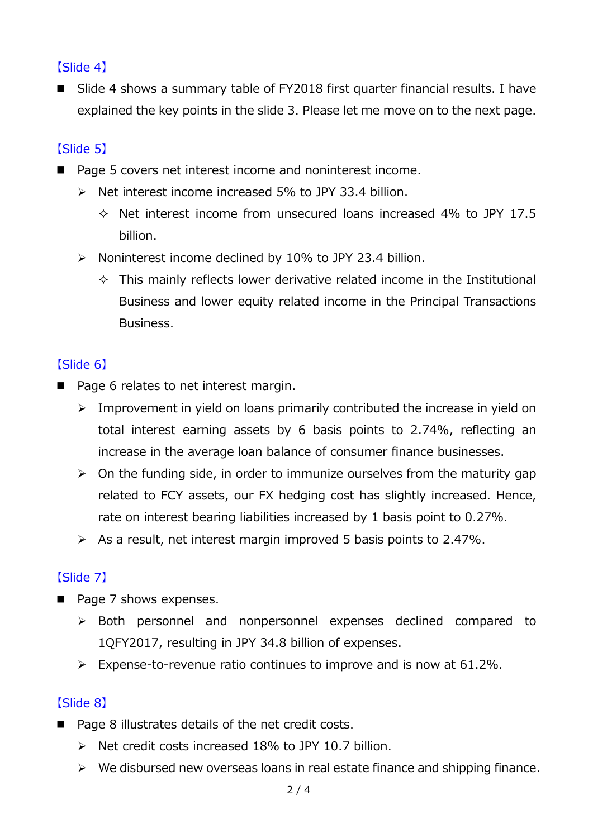## 【Slide 4】

■ Slide 4 shows a summary table of FY2018 first quarter financial results. I have explained the key points in the slide 3. Please let me move on to the next page.

## 【Slide 5】

- Page 5 covers net interest income and noninterest income.
	- $\triangleright$  Net interest income increased 5% to JPY 33.4 billion.
		- $\lozenge$  Net interest income from unsecured loans increased 4% to JPY 17.5 billion.
	- $\triangleright$  Noninterest income declined by 10% to JPY 23.4 billion.
		- $\Diamond$  This mainly reflects lower derivative related income in the Institutional Business and lower equity related income in the Principal Transactions Business.

#### 【Slide 6】

- Page 6 relates to net interest margin.
	- $\triangleright$  Improvement in yield on loans primarily contributed the increase in yield on total interest earning assets by 6 basis points to 2.74%, reflecting an increase in the average loan balance of consumer finance businesses.
	- $\triangleright$  On the funding side, in order to immunize ourselves from the maturity gap related to FCY assets, our FX hedging cost has slightly increased. Hence, rate on interest bearing liabilities increased by 1 basis point to 0.27%.
	- $\triangleright$  As a result, net interest margin improved 5 basis points to 2.47%.

#### 【Slide 7】

- Page 7 shows expenses.
	- Both personnel and nonpersonnel expenses declined compared to 1QFY2017, resulting in JPY 34.8 billion of expenses.
	- $\triangleright$  Expense-to-revenue ratio continues to improve and is now at 61.2%.

#### 【Slide 8】

- Page 8 illustrates details of the net credit costs.
	- $\triangleright$  Net credit costs increased 18% to JPY 10.7 billion.
	- $\triangleright$  We disbursed new overseas loans in real estate finance and shipping finance.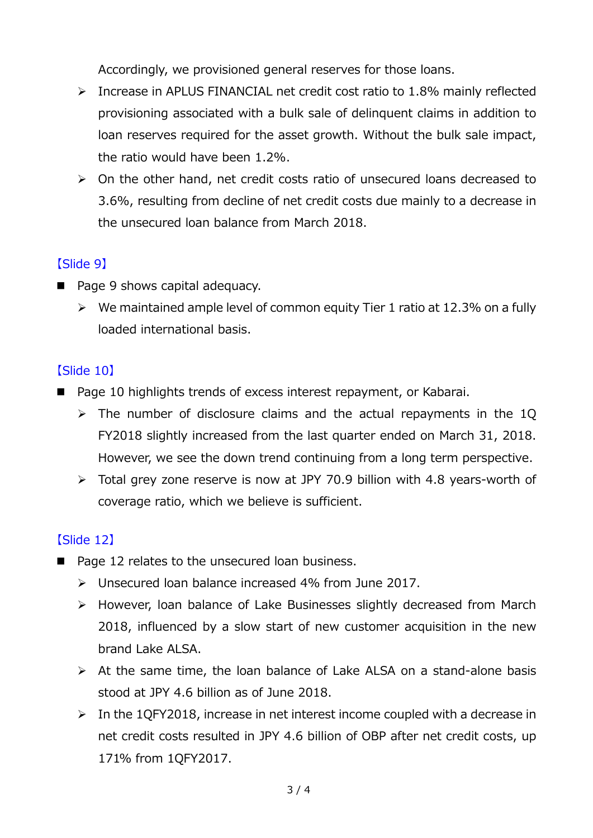Accordingly, we provisioned general reserves for those loans.

- $\triangleright$  Increase in APLUS FINANCIAL net credit cost ratio to 1.8% mainly reflected provisioning associated with a bulk sale of delinquent claims in addition to loan reserves required for the asset growth. Without the bulk sale impact, the ratio would have been 1.2%.
- $\triangleright$  On the other hand, net credit costs ratio of unsecured loans decreased to 3.6%, resulting from decline of net credit costs due mainly to a decrease in the unsecured loan balance from March 2018.

### 【Slide 9】

- Page 9 shows capital adequacy.
	- $\triangleright$  We maintained ample level of common equity Tier 1 ratio at 12.3% on a fully loaded international basis.

### 【Slide 10】

- Page 10 highlights trends of excess interest repayment, or Kabarai.
	- $\triangleright$  The number of disclosure claims and the actual repayments in the 1Q FY2018 slightly increased from the last quarter ended on March 31, 2018. However, we see the down trend continuing from a long term perspective.
	- Total grey zone reserve is now at JPY 70.9 billion with 4.8 years-worth of coverage ratio, which we believe is sufficient.

## 【Slide 12】

- Page 12 relates to the unsecured loan business.
	- Unsecured loan balance increased 4% from June 2017.
	- However, loan balance of Lake Businesses slightly decreased from March 2018, influenced by a slow start of new customer acquisition in the new brand Lake ALSA.
	- $\triangleright$  At the same time, the loan balance of Lake ALSA on a stand-alone basis stood at JPY 4.6 billion as of June 2018.
	- $\triangleright$  In the 1QFY2018, increase in net interest income coupled with a decrease in net credit costs resulted in JPY 4.6 billion of OBP after net credit costs, up 171% from 1QFY2017.